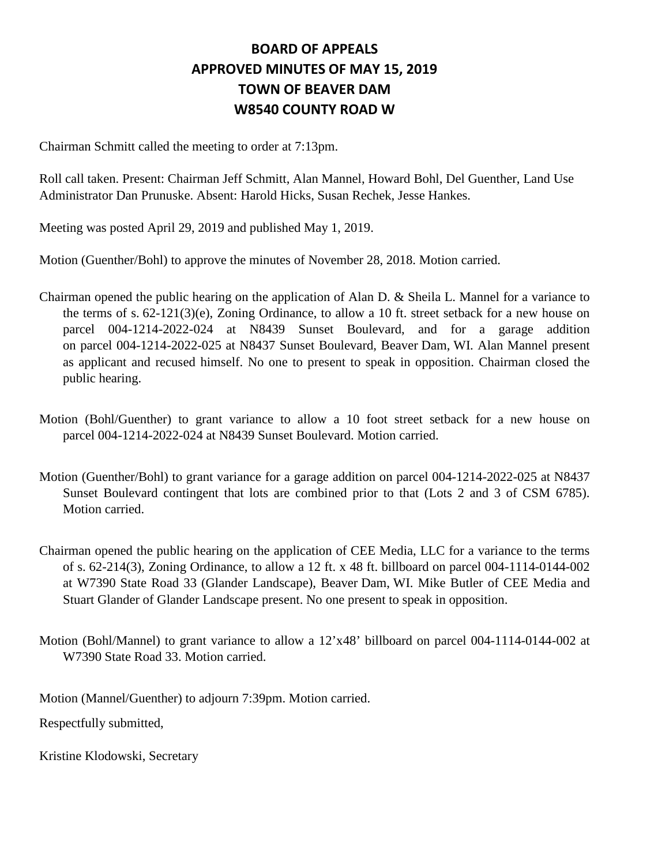## **BOARD OF APPEALS APPROVED MINUTES OF MAY 15, 2019 TOWN OF BEAVER DAM W8540 COUNTY ROAD W**

Chairman Schmitt called the meeting to order at 7:13pm.

Roll call taken. Present: Chairman Jeff Schmitt, Alan Mannel, Howard Bohl, Del Guenther, Land Use Administrator Dan Prunuske. Absent: Harold Hicks, Susan Rechek, Jesse Hankes.

Meeting was posted April 29, 2019 and published May 1, 2019.

Motion (Guenther/Bohl) to approve the minutes of November 28, 2018. Motion carried.

- Chairman opened the public hearing on the application of Alan D. & Sheila L. Mannel for a variance to the terms of s. 62-121(3)(e), Zoning Ordinance, to allow a 10 ft. street setback for a new house on parcel 004-1214-2022-024 at N8439 Sunset Boulevard, and for a garage addition on parcel 004-1214-2022-025 at N8437 Sunset Boulevard, Beaver Dam, WI. Alan Mannel present as applicant and recused himself. No one to present to speak in opposition. Chairman closed the public hearing.
- Motion (Bohl/Guenther) to grant variance to allow a 10 foot street setback for a new house on parcel 004-1214-2022-024 at N8439 Sunset Boulevard. Motion carried.
- Motion (Guenther/Bohl) to grant variance for a garage addition on parcel 004-1214-2022-025 at N8437 Sunset Boulevard contingent that lots are combined prior to that (Lots 2 and 3 of CSM 6785). Motion carried.
- Chairman opened the public hearing on the application of CEE Media, LLC for a variance to the terms of s. 62-214(3), Zoning Ordinance, to allow a 12 ft. x 48 ft. billboard on parcel 004-1114-0144-002 at W7390 State Road 33 (Glander Landscape), Beaver Dam, WI. Mike Butler of CEE Media and Stuart Glander of Glander Landscape present. No one present to speak in opposition.
- Motion (Bohl/Mannel) to grant variance to allow a 12'x48' billboard on parcel 004-1114-0144-002 at W7390 State Road 33. Motion carried.

Motion (Mannel/Guenther) to adjourn 7:39pm. Motion carried.

Respectfully submitted,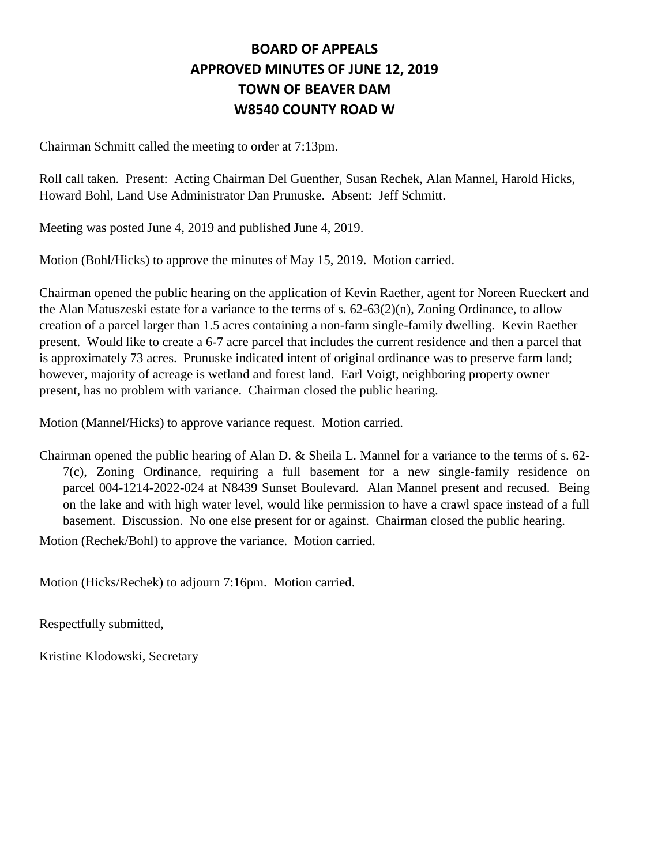## **BOARD OF APPEALS APPROVED MINUTES OF JUNE 12, 2019 TOWN OF BEAVER DAM W8540 COUNTY ROAD W**

Chairman Schmitt called the meeting to order at 7:13pm.

Roll call taken. Present: Acting Chairman Del Guenther, Susan Rechek, Alan Mannel, Harold Hicks, Howard Bohl, Land Use Administrator Dan Prunuske. Absent: Jeff Schmitt.

Meeting was posted June 4, 2019 and published June 4, 2019.

Motion (Bohl/Hicks) to approve the minutes of May 15, 2019. Motion carried.

Chairman opened the public hearing on the application of Kevin Raether, agent for Noreen Rueckert and the Alan Matuszeski estate for a variance to the terms of s. 62-63(2)(n), Zoning Ordinance, to allow creation of a parcel larger than 1.5 acres containing a non-farm single-family dwelling. Kevin Raether present. Would like to create a 6-7 acre parcel that includes the current residence and then a parcel that is approximately 73 acres. Prunuske indicated intent of original ordinance was to preserve farm land; however, majority of acreage is wetland and forest land. Earl Voigt, neighboring property owner present, has no problem with variance. Chairman closed the public hearing.

Motion (Mannel/Hicks) to approve variance request. Motion carried.

Chairman opened the public hearing of Alan D. & Sheila L. Mannel for a variance to the terms of s. 62- 7(c), Zoning Ordinance, requiring a full basement for a new single-family residence on parcel 004-1214-2022-024 at N8439 Sunset Boulevard. Alan Mannel present and recused. Being on the lake and with high water level, would like permission to have a crawl space instead of a full basement. Discussion. No one else present for or against. Chairman closed the public hearing.

Motion (Rechek/Bohl) to approve the variance. Motion carried.

Motion (Hicks/Rechek) to adjourn 7:16pm. Motion carried.

Respectfully submitted,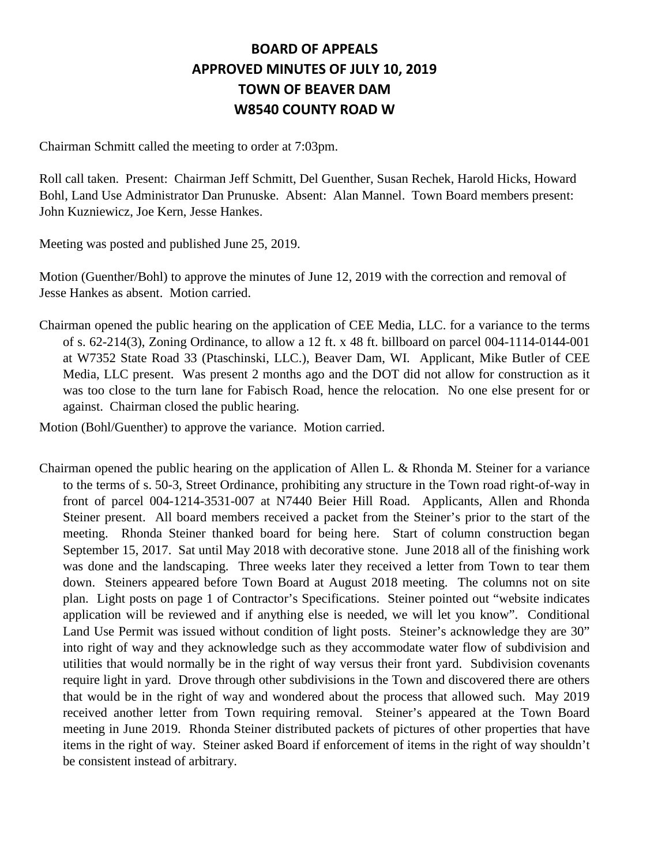## **BOARD OF APPEALS APPROVED MINUTES OF JULY 10, 2019 TOWN OF BEAVER DAM W8540 COUNTY ROAD W**

Chairman Schmitt called the meeting to order at 7:03pm.

Roll call taken. Present: Chairman Jeff Schmitt, Del Guenther, Susan Rechek, Harold Hicks, Howard Bohl, Land Use Administrator Dan Prunuske. Absent: Alan Mannel. Town Board members present: John Kuzniewicz, Joe Kern, Jesse Hankes.

Meeting was posted and published June 25, 2019.

Motion (Guenther/Bohl) to approve the minutes of June 12, 2019 with the correction and removal of Jesse Hankes as absent. Motion carried.

Chairman opened the public hearing on the application of CEE Media, LLC. for a variance to the terms of s. 62-214(3), Zoning Ordinance, to allow a 12 ft. x 48 ft. billboard on parcel 004-1114-0144-001 at W7352 State Road 33 (Ptaschinski, LLC.), Beaver Dam, WI. Applicant, Mike Butler of CEE Media, LLC present. Was present 2 months ago and the DOT did not allow for construction as it was too close to the turn lane for Fabisch Road, hence the relocation. No one else present for or against. Chairman closed the public hearing.

Motion (Bohl/Guenther) to approve the variance. Motion carried.

Chairman opened the public hearing on the application of Allen L. & Rhonda M. Steiner for a variance to the terms of s. 50-3, Street Ordinance, prohibiting any structure in the Town road right-of-way in front of parcel 004-1214-3531-007 at N7440 Beier Hill Road. Applicants, Allen and Rhonda Steiner present. All board members received a packet from the Steiner's prior to the start of the meeting. Rhonda Steiner thanked board for being here. Start of column construction began September 15, 2017. Sat until May 2018 with decorative stone. June 2018 all of the finishing work was done and the landscaping. Three weeks later they received a letter from Town to tear them down. Steiners appeared before Town Board at August 2018 meeting. The columns not on site plan. Light posts on page 1 of Contractor's Specifications. Steiner pointed out "website indicates application will be reviewed and if anything else is needed, we will let you know". Conditional Land Use Permit was issued without condition of light posts. Steiner's acknowledge they are 30" into right of way and they acknowledge such as they accommodate water flow of subdivision and utilities that would normally be in the right of way versus their front yard. Subdivision covenants require light in yard. Drove through other subdivisions in the Town and discovered there are others that would be in the right of way and wondered about the process that allowed such. May 2019 received another letter from Town requiring removal. Steiner's appeared at the Town Board meeting in June 2019. Rhonda Steiner distributed packets of pictures of other properties that have items in the right of way. Steiner asked Board if enforcement of items in the right of way shouldn't be consistent instead of arbitrary.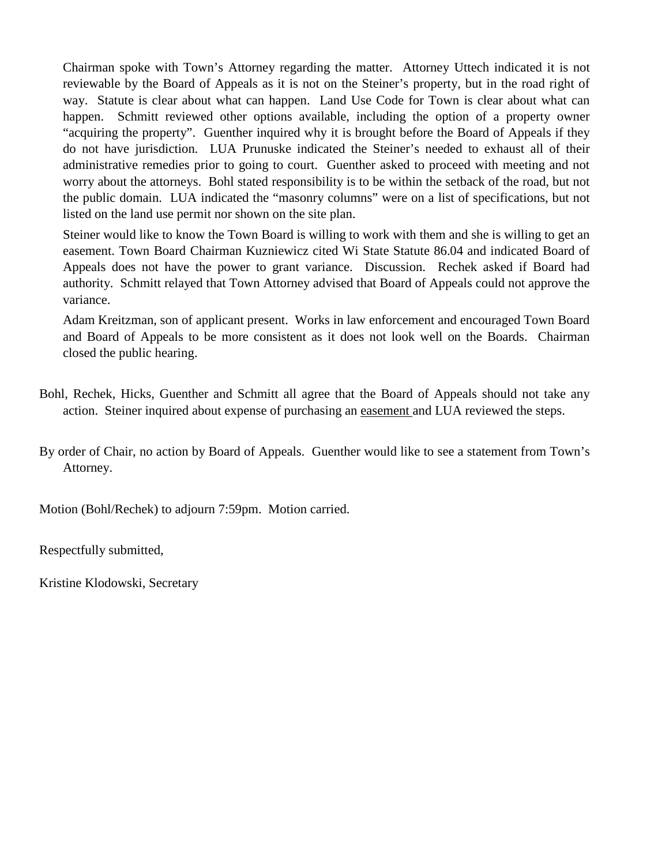Chairman spoke with Town's Attorney regarding the matter. Attorney Uttech indicated it is not reviewable by the Board of Appeals as it is not on the Steiner's property, but in the road right of way. Statute is clear about what can happen. Land Use Code for Town is clear about what can happen. Schmitt reviewed other options available, including the option of a property owner "acquiring the property". Guenther inquired why it is brought before the Board of Appeals if they do not have jurisdiction. LUA Prunuske indicated the Steiner's needed to exhaust all of their administrative remedies prior to going to court. Guenther asked to proceed with meeting and not worry about the attorneys. Bohl stated responsibility is to be within the setback of the road, but not the public domain. LUA indicated the "masonry columns" were on a list of specifications, but not listed on the land use permit nor shown on the site plan.

Steiner would like to know the Town Board is willing to work with them and she is willing to get an easement. Town Board Chairman Kuzniewicz cited Wi State Statute 86.04 and indicated Board of Appeals does not have the power to grant variance. Discussion. Rechek asked if Board had authority. Schmitt relayed that Town Attorney advised that Board of Appeals could not approve the variance.

Adam Kreitzman, son of applicant present. Works in law enforcement and encouraged Town Board and Board of Appeals to be more consistent as it does not look well on the Boards. Chairman closed the public hearing.

- Bohl, Rechek, Hicks, Guenther and Schmitt all agree that the Board of Appeals should not take any action. Steiner inquired about expense of purchasing an easement and LUA reviewed the steps.
- By order of Chair, no action by Board of Appeals. Guenther would like to see a statement from Town's Attorney.

Motion (Bohl/Rechek) to adjourn 7:59pm. Motion carried.

Respectfully submitted,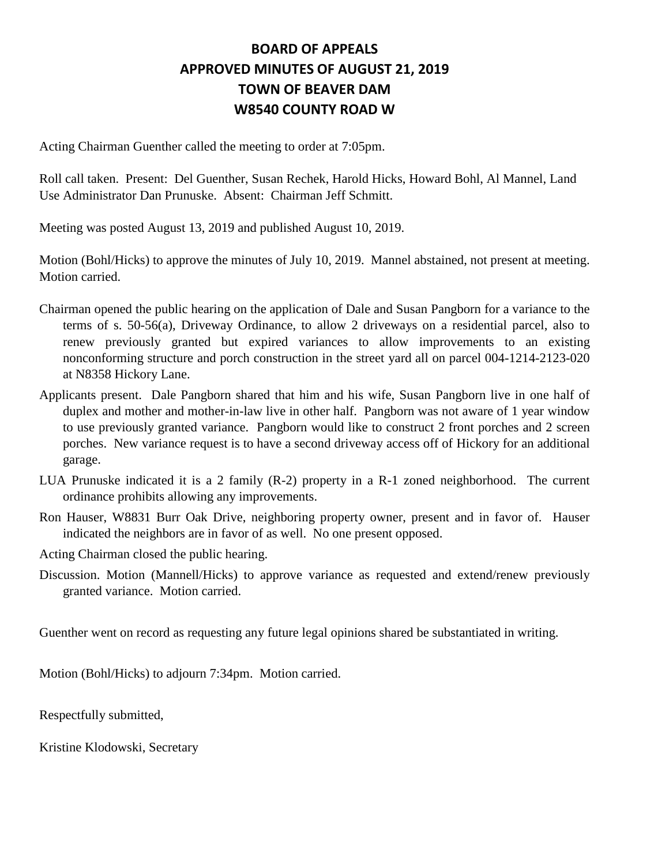## **BOARD OF APPEALS APPROVED MINUTES OF AUGUST 21, 2019 TOWN OF BEAVER DAM W8540 COUNTY ROAD W**

Acting Chairman Guenther called the meeting to order at 7:05pm.

Roll call taken. Present: Del Guenther, Susan Rechek, Harold Hicks, Howard Bohl, Al Mannel, Land Use Administrator Dan Prunuske. Absent: Chairman Jeff Schmitt.

Meeting was posted August 13, 2019 and published August 10, 2019.

Motion (Bohl/Hicks) to approve the minutes of July 10, 2019. Mannel abstained, not present at meeting. Motion carried.

- Chairman opened the public hearing on the application of Dale and Susan Pangborn for a variance to the terms of s. 50-56(a), Driveway Ordinance, to allow 2 driveways on a residential parcel, also to renew previously granted but expired variances to allow improvements to an existing nonconforming structure and porch construction in the street yard all on parcel 004-1214-2123-020 at N8358 Hickory Lane.
- Applicants present. Dale Pangborn shared that him and his wife, Susan Pangborn live in one half of duplex and mother and mother-in-law live in other half. Pangborn was not aware of 1 year window to use previously granted variance. Pangborn would like to construct 2 front porches and 2 screen porches. New variance request is to have a second driveway access off of Hickory for an additional garage.
- LUA Prunuske indicated it is a 2 family (R-2) property in a R-1 zoned neighborhood. The current ordinance prohibits allowing any improvements.
- Ron Hauser, W8831 Burr Oak Drive, neighboring property owner, present and in favor of. Hauser indicated the neighbors are in favor of as well. No one present opposed.
- Acting Chairman closed the public hearing.
- Discussion. Motion (Mannell/Hicks) to approve variance as requested and extend/renew previously granted variance. Motion carried.

Guenther went on record as requesting any future legal opinions shared be substantiated in writing.

Motion (Bohl/Hicks) to adjourn 7:34pm. Motion carried.

Respectfully submitted,